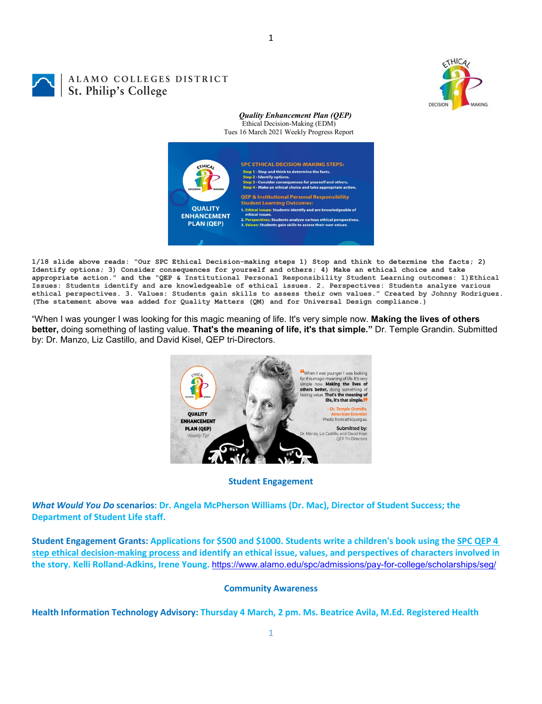

# ALAMO COLLEGES DISTRICT St. Philip's College

#### *Quality Enhancement Plan (QEP)* Ethical Decision-Making (EDM)

Tues 16 March 2021 Weekly Progress Report



1

**1/18 slide above reads: "Our SPC Ethical Decision-making steps 1) Stop and think to determine the facts; 2) Identify options; 3) Consider consequences for yourself and others; 4) Make an ethical choice and take appropriate action." and the "QEP & Institutional Personal Responsibility Student Learning outcomes: 1)Ethical Issues: Students identify and are knowledgeable of ethical issues. 2. Perspectives: Students analyze various ethical perspectives. 3. Values: Students gain skills to assess their own values." Created by Johnny Rodriguez. (The statement above was added for Quality Matters (QM) and for Universal Design compliance.)**

"When I was younger I was looking for this magic meaning of life. It's very simple now. **Making the lives of others better,** doing something of lasting value. **That's the meaning of life, it's that simple."** Dr. Temple Grandin. Submitted by: Dr. Manzo, Liz Castillo, and David Kisel, QEP tri-Directors.



# **Student Engagement**

*What Would You Do* **scenarios: Dr. Angela McPherson Williams (Dr. Mac), Director of Student Success; the Department of Student Life staff.**

**Student Engagement Grants: Applications for \$500 and \$1000. Students write a children's book using the [SPC QEP 4](https://mail.alamo.edu/owa/redir.aspx?REF=QPGGgOE-3HbbrbCAzqBFQWbtY3e2Gc0f0qSFld99-4hqZWSPr8DYCAFodHRwczovL3d3dy5hbGFtby5lZHUvbGluay8zYjg5NjQxMTY3MGY0YTZlYjU2MzNkNGFmNjE1OTBjNC5hc3B4)  [step ethical decision-making process](https://mail.alamo.edu/owa/redir.aspx?REF=QPGGgOE-3HbbrbCAzqBFQWbtY3e2Gc0f0qSFld99-4hqZWSPr8DYCAFodHRwczovL3d3dy5hbGFtby5lZHUvbGluay8zYjg5NjQxMTY3MGY0YTZlYjU2MzNkNGFmNjE1OTBjNC5hc3B4) and identify an ethical issue, values, and perspectives of characters involved in the story. Kelli Rolland-Adkins, Irene Young.** <https://www.alamo.edu/spc/admissions/pay-for-college/scholarships/seg/>

# **Community Awareness**

**Health Information Technology Advisory: Thursday 4 March, 2 pm. Ms. Beatrice Avila, M.Ed. Registered Health**